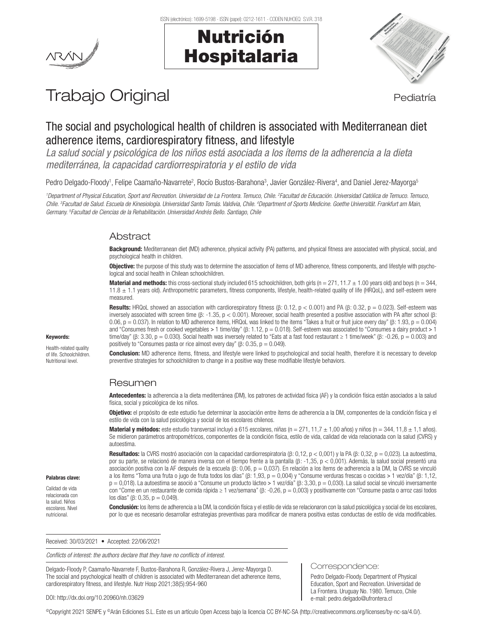

## Nutrición Hospitalaria



# Trabajo Original en el estatubación de la pediatría

## The social and psychological health of children is associated with Mediterranean diet adherence items, cardiorespiratory fitness, and lifestyle

*La salud social y psicológica de los niños está asociada a los ítems de la adherencia a la dieta mediterránea, la capacidad cardiorrespiratoria y el estilo de vida*

Pedro Delgado-Floody<sup>1</sup>, Felipe Caamaño-Navarrete<sup>2</sup>, Rocío Bustos-Barahona<sup>3</sup>, Javier González-Rivera<sup>4</sup>, and Daniel Jerez-Mayorga<sup>s</sup>

<sup>1</sup>Department of Physical Education, Sport and Recreation. Universidad de La Frontera. Temuco, Chile. <sup>2</sup>Facultad de Educación. Universidad Católica de Temuco. Temuco, Chile. <sup>3</sup>Facultad de Salud. Escuela de Kinesiología. Universidad Santo Tomás. Valdivia, Chile. <sup>4</sup>Department of Sports Medicine. Goethe Universität. Frankfurt am Main, *Germany. 5 Facultad de Ciencias de la Rehabilitación. Universidad Andrés Bello. Santiago, Chile*

## Abstract

Background: Mediterranean diet (MD) adherence, physical activity (PA) patterns, and physical fitness are associated with physical, social, and psychological health in children.

Objective: the purpose of this study was to determine the association of items of MD adherence, fitness components, and lifestyle with psychological and social health in Chilean schoolchildren.

**Material and methods:** this cross-sectional study included 615 schoolchildren, both girls (n = 271, 11.7  $\pm$  1.00 years old) and boys (n = 344, 11.8 ± 1.1 years old). Anthropometric parameters, fitness components, lifestyle, health-related quality of life (HRQoL), and self-esteem were measured.

Results: HRQoL showed an association with cardiorespiratory fitness (β: 0.12,  $p < 0.001$ ) and PA (β: 0.32,  $p = 0.023$ ). Self-esteem was inversely associated with screen time (β: -1.35, p < 0.001). Moreover, social health presented a positive association with PA after school (β: 0.06,  $p = 0.037$ ). In relation to MD adherence items, HRQoL was linked to the items "Takes a fruit or fruit juice every day" (β: 1.93, p = 0.004) and "Consumes fresh or cooked vegetables > 1 time/day" ( $\beta$ : 1.12,  $p = 0.018$ ). Self-esteem was associated to "Consumes a dairy product > 1 time/day" (β: 3.30,  $p = 0.030$ ). Social health was inversely related to "Eats at a fast food restaurant  $\geq 1$  time/week" (β: -0.26,  $p = 0.003$ ) and positively to "Consumes pasta or rice almost every day" (β: 0.35,  $p = 0.049$ ).

**Conclusion:** MD adherence items, fitness, and lifestyle were linked to psychological and social health, therefore it is necessary to develop preventive strategies for schoolchildren to change in a positive way these modifiable lifestyle behaviors.

## Resumen

Antecedentes: la adherencia a la dieta mediterránea (DM), los patrones de actividad física (AF) y la condición física están asociados a la salud física, social y psicológica de los niños.

Objetivo: el propósito de este estudio fue determinar la asociación entre ítems de adherencia a la DM, componentes de la condición física y el estilo de vida con la salud psicológica y social de los escolares chilenos.

**Material y métodos:** este estudio transversal incluyó a 615 escolares, niñas (n = 271, 11,7  $\pm$  1,00 años) y niños (n = 344, 11,8  $\pm$  1,1 años). Se midieron parámetros antropométricos, componentes de la condición física, estilo de vida, calidad de vida relacionada con la salud (CVRS) y autoestima.

Resultados: la CVRS mostró asociación con la capacidad cardiorrespiratoria (β: 0,12, p < 0,001) y la PA (β: 0,32, p = 0,023). La autoestima, por su parte, se relacionó de manera inversa con el tiempo frente a la pantalla (β: -1,35, p < 0,001). Además, la salud social presentó una asociación positiva con la AF después de la escuela (β: 0,06, p = 0,037). En relación a los ítems de adherencia a la DM, la CVRS se vinculó a los ítems "Toma una fruta o jugo de fruta todos los días" (β: 1,93, p = 0,004) y "Consume verduras frescas o cocidas ˃ 1 vez/día" (β: 1,12, p = 0,018). La autoestima se asoció a "Consume un producto lácteo > 1 vez/día" (β: 3,30, p = 0,030). La salud social se vinculó inversamente con "Come en un restaurante de comida rápida ≥ 1 vez/semana" (β: -0,26, p = 0,003) y positivamente con "Consume pasta o arroz casi todos los días" (β: 0,35, p = 0,049).

Conclusión: los ítems de adherencia a la DM, la condición física y el estilo de vida se relacionaron con la salud psicológica y social de los escolares, por lo que es necesario desarrollar estrategias preventivas para modificar de manera positiva estas conductas de estilo de vida modificables.

Correspondence:

Pedro Delgado-Floody. Department of Physical Education, Sport and Recreation. Universidad de La Frontera. Uruguay No. 1980. Temuco, Chile e-mail: pedro.delgado@ufrontera.cl

Received: 30/03/2021 • Accepted: 22/06/2021

*Conflicts of interest: the authors declare that they have no conflicts of interest.*

Delgado-Floody P, Caamaño-Navarrete F, Bustos-Barahona R, González-Rivera J, Jerez-Mayorga D. The social and psychological health of children is associated with Mediterranean diet adherence items, cardiorespiratory fitness, and lifestyle. Nutr Hosp 2021;38(5):954-960

#### DOI: http://dx.doi.org/10.20960/nh.03629

©Copyright 2021 SENPE y ©Arán Ediciones S.L. Este es un artículo Open Access bajo la licencia CC BY-NC-SA (http://creativecommons.org/licenses/by-nc-sa/4.0/).

### Keywords:

Health-related quality of life. Schoolchildren. Nutritional level.

Palabras clave: Calidad de vida relacionada con la salud. Niños escolares. Nivel nutricional.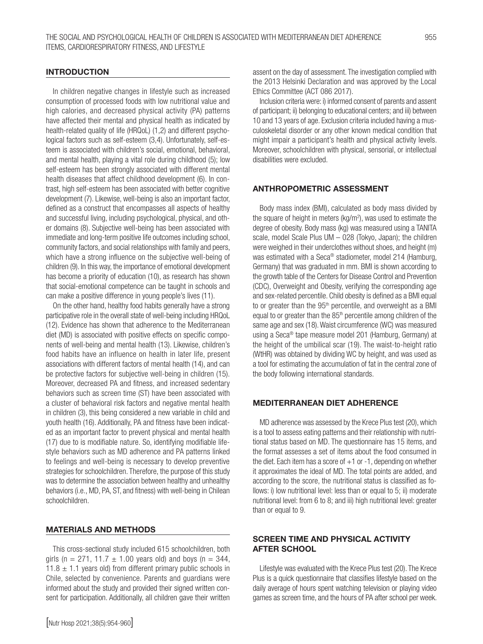#### **INTRODUCTION**

In children negative changes in lifestyle such as increased consumption of processed foods with low nutritional value and high calories, and decreased physical activity (PA) patterns have affected their mental and physical health as indicated by health-related quality of life (HRQoL) (1,2) and different psychological factors such as self-esteem (3,4). Unfortunately, self-esteem is associated with children's social, emotional, behavioral, and mental health, playing a vital role during childhood (5); low self-esteem has been strongly associated with different mental health diseases that affect childhood development (6). In contrast, high self-esteem has been associated with better cognitive development (7). Likewise, well-being is also an important factor, defined as a construct that encompasses all aspects of healthy and successful living, including psychological, physical, and other domains (8). Subjective well-being has been associated with immediate and long-term positive life outcomes including school, community factors, and social relationships with family and peers, which have a strong influence on the subjective well-being of children (9). In this way, the importance of emotional development has become a priority of education (10), as research has shown that social-emotional competence can be taught in schools and can make a positive difference in young people's lives (11).

On the other hand, healthy food habits generally have a strong participative role in the overall state of well-being including HRQoL (12). Evidence has shown that adherence to the Mediterranean diet (MD) is associated with positive effects on specific components of well-being and mental health (13). Likewise, children's food habits have an influence on health in later life, present associations with different factors of mental health (14), and can be protective factors for subjective well-being in children (15). Moreover, decreased PA and fitness, and increased sedentary behaviors such as screen time (ST) have been associated with a cluster of behavioral risk factors and negative mental health in children (3), this being considered a new variable in child and youth health (16). Additionally, PA and fitness have been indicated as an important factor to prevent physical and mental health (17) due to is modifiable nature. So, identifying modifiable lifestyle behaviors such as MD adherence and PA patterns linked to feelings and well-being is necessary to develop preventive strategies for schoolchildren. Therefore, the purpose of this study was to determine the association between healthy and unhealthy behaviors (i.e., MD, PA, ST, and fitness) with well-being in Chilean schoolchildren.

#### MATERIALS AND METHODS

This cross-sectional study included 615 schoolchildren, both girls (n = 271, 11.7  $\pm$  1.00 years old) and boys (n = 344, 11.8  $\pm$  1.1 years old) from different primary public schools in Chile, selected by convenience. Parents and guardians were informed about the study and provided their signed written consent for participation. Additionally, all children gave their written

assent on the day of assessment. The investigation complied with the 2013 Helsinki Declaration and was approved by the Local Ethics Committee (ACT 086 2017).

Inclusion criteria were: i) informed consent of parents and assent of participant; ii) belonging to educational centers; and iii) between 10 and 13 years of age. Exclusion criteria included having a musculoskeletal disorder or any other known medical condition that might impair a participant's health and physical activity levels. Moreover, schoolchildren with physical, sensorial, or intellectual disabilities were excluded.

#### ANTHROPOMETRIC ASSESSMENT

Body mass index (BMI), calculated as body mass divided by the square of height in meters ( $kg/m<sup>2</sup>$ ), was used to estimate the degree of obesity. Body mass (kg) was measured using a TANITA scale, model Scale Plus UM – 028 (Tokyo, Japan); the children were weighed in their underclothes without shoes, and height (m) was estimated with a Seca® stadiometer, model 214 (Hamburg, Germany) that was graduated in mm. BMI is shown according to the growth table of the Centers for Disease Control and Prevention (CDC), Overweight and Obesity, verifying the corresponding age and sex-related percentile. Child obesity is defined as a BMI equal to or greater than the 95<sup>th</sup> percentile, and overweight as a BMI equal to or greater than the  $85<sup>th</sup>$  percentile among children of the same age and sex (18). Waist circumference (WC) was measured using a Seca® tape measure model 201 (Hamburg, Germany) at the height of the umbilical scar (19). The waist-to-height ratio (WtHR) was obtained by dividing WC by height, and was used as a tool for estimating the accumulation of fat in the central zone of the body following international standards.

#### MEDITERRANEAN DIET ADHERENCE

MD adherence was assessed by the Krece Plus test (20), which is a tool to assess eating patterns and their relationship with nutritional status based on MD. The questionnaire has 15 items, and the format assesses a set of items about the food consumed in the diet. Each item has a score of  $+1$  or  $-1$ , depending on whether it approximates the ideal of MD. The total points are added, and according to the score, the nutritional status is classified as follows: i) low nutritional level: less than or equal to 5; ii) moderate nutritional level: from 6 to 8; and iii) high nutritional level: greater than or equal to 9.

### SCREEN TIME AND PHYSICAL ACTIVITY AFTER SCHOOL

Lifestyle was evaluated with the Krece Plus test (20). The Krece Plus is a quick questionnaire that classifies lifestyle based on the daily average of hours spent watching television or playing video games as screen time, and the hours of PA after school per week.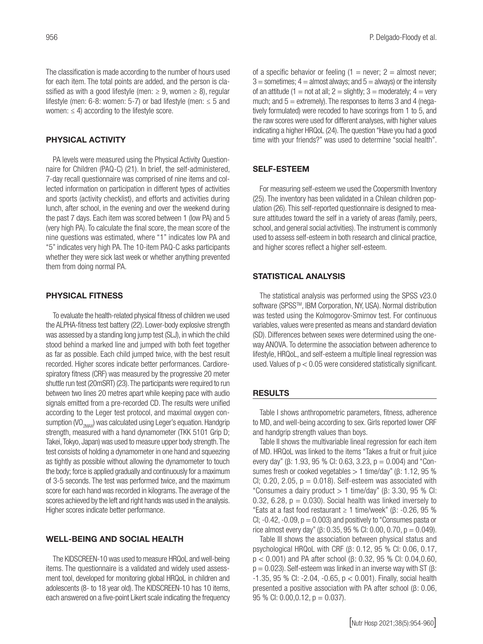The classification is made according to the number of hours used for each item. The total points are added, and the person is classified as with a good lifestyle (men:  $\geq 9$ , women  $\geq 8$ ), regular lifestyle (men: 6-8: women: 5-7) or bad lifestyle (men:  $\leq$  5 and women:  $\leq$  4) according to the lifestyle score.

#### PHYSICAL ACTIVITY

PA levels were measured using the Physical Activity Questionnaire for Children (PAQ-C) (21). In brief, the self-administered, 7-day recall questionnaire was comprised of nine items and collected information on participation in different types of activities and sports (activity checklist), and efforts and activities during lunch, after school, in the evening and over the weekend during the past 7 days. Each item was scored between 1 (low PA) and 5 (very high PA). To calculate the final score, the mean score of the nine questions was estimated, where "1" indicates low PA and "5" indicates very high PA. The 10-item PAQ-C asks participants whether they were sick last week or whether anything prevented them from doing normal PA.

#### PHYSICAL FITNESS

To evaluate the health-related physical fitness of children we used the ALPHA-fitness test battery (22). Lower-body explosive strength was assessed by a standing long jump test (SLJ), in which the child stood behind a marked line and jumped with both feet together as far as possible. Each child jumped twice, with the best result recorded. Higher scores indicate better performances. Cardiorespiratory fitness (CRF) was measured by the progressive 20 meter shuttle run test (20mSRT) (23). The participants were required to run between two lines 20 metres apart while keeping pace with audio signals emitted from a pre-recorded CD. The results were unified according to the Leger test protocol, and maximal oxygen consumption  $\langle VO_{2MN}\rangle$  was calculated using Leger's equation. Handgrip strength, measured with a hand dynamometer (TKK 5101 Grip D; Takei, Tokyo, Japan) was used to measure upper body strength. The test consists of holding a dynamometer in one hand and squeezing as tightly as possible without allowing the dynamometer to touch the body; force is applied gradually and continuously for a maximum of 3-5 seconds. The test was performed twice, and the maximum score for each hand was recorded in kilograms. The average of the scores achieved by the left and right hands was used in the analysis. Higher scores indicate better performance.

#### WELL-BEING AND SOCIAL HEALTH

The KIDSCREEN-10 was used to measure HRQoL and well-being items. The questionnaire is a validated and widely used assessment tool, developed for monitoring global HRQoL in children and adolescents (8- to 18 year old). The KIDSCREEN-10 has 10 items, each answered on a five-point Likert scale indicating the frequency

of a specific behavior or feeling  $(1 =$  never;  $2 =$  almost never;  $3 =$  sometimes;  $4 =$  almost always; and  $5 =$  always) or the intensity of an attitude (1 = not at all; 2 = slightly; 3 = moderately; 4 = very much; and  $5 =$  extremely). The responses to items 3 and 4 (negatively formulated) were recoded to have scorings from 1 to 5, and the raw scores were used for different analyses, with higher values indicating a higher HRQoL (24). The question "Have you had a good time with your friends?" was used to determine "social health".

#### SELF-ESTEEM

For measuring self-esteem we used the Coopersmith Inventory (25). The inventory has been validated in a Chilean children population (26). This self-reported questionnaire is designed to measure attitudes toward the self in a variety of areas (family, peers, school, and general social activities). The instrument is commonly used to assess self-esteem in both research and clinical practice, and higher scores reflect a higher self-esteem.

#### STATISTICAL ANALYSIS

The statistical analysis was performed using the SPSS v23.0 software (SPSS™, IBM Corporation, NY, USA). Normal distribution was tested using the Kolmogorov-Smirnov test. For continuous variables, values were presented as means and standard deviation (SD). Differences between sexes were determined using the oneway ANOVA. To determine the association between adherence to lifestyle, HRQoL, and self-esteem a multiple lineal regression was used. Values of  $p < 0.05$  were considered statistically significant.

#### RESULTS

Table I shows anthropometric parameters, fitness, adherence to MD, and well-being according to sex. Girls reported lower CRF and handgrip strength values than boys.

Table II shows the multivariable lineal regression for each item of MD. HRQoL was linked to the items "Takes a fruit or fruit juice every day" (β: 1.93, 95 % CI: 0.63, 3.23,  $p = 0.004$ ) and "Consumes fresh or cooked vegetables > 1 time/day" (β: 1.12, 95 % CI; 0.20, 2.05,  $p = 0.018$ ). Self-esteem was associated with "Consumes a dairy product  $> 1$  time/day" (β: 3.30, 95 % CI: 0.32, 6.28,  $p = 0.030$ . Social health was linked inversely to "Eats at a fast food restaurant  $\geq 1$  time/week" (β: -0.26, 95 %) CI;  $-0.42$ ,  $-0.09$ ,  $p = 0.003$ ) and positively to "Consumes pasta or rice almost every day" (β: 0.35, 95 % CI: 0.00, 0.70,  $p = 0.049$ ).

Table III shows the association between physical status and psychological HRQoL with CRF (β: 0.12, 95 % CI: 0.06, 0.17, p < 0.001) and PA after school (β: 0.32, 95 % CI: 0.04,0.60,  $p = 0.023$ ). Self-esteem was linked in an inverse way with ST ( $\beta$ : -1.35, 95 % CI: -2.04, -0.65, p < 0.001). Finally, social health presented a positive association with PA after school (β: 0.06, 95 % CI:  $0.00, 0.12, p = 0.037$ ).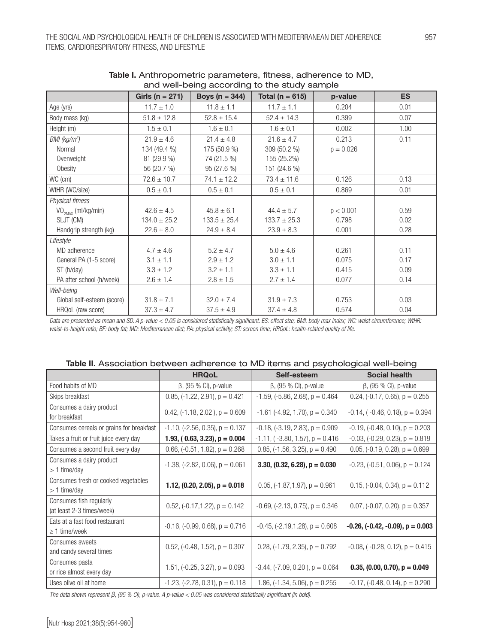| and well-bell ig according to the study sample |                     |                    |                     |             |           |
|------------------------------------------------|---------------------|--------------------|---------------------|-------------|-----------|
|                                                | Girls ( $n = 271$ ) | Boys ( $n = 344$ ) | Total ( $n = 615$ ) | p-value     | <b>ES</b> |
| Age (yrs)                                      | $11.7 \pm 1.0$      | $11.8 \pm 1.1$     | $11.7 \pm 1.1$      | 0.204       | 0.01      |
| Body mass (kg)                                 | $51.8 \pm 12.8$     | $52.8 \pm 15.4$    | $52.4 \pm 14.3$     | 0.399       | 0.07      |
| Height (m)                                     | $1.5 \pm 0.1$       | $1.6 \pm 0.1$      | $1.6 \pm 0.1$       | 0.002       | 1.00      |
| $BMl$ (kg/m <sup>2</sup> )                     | $21.9 \pm 4.6$      | $21.4 \pm 4.8$     | $21.6 \pm 4.7$      | 0.213       | 0.11      |
| Normal                                         | 134 (49.4 %)        | 175 (50.9 %)       | 309 (50.2 %)        | $p = 0.026$ |           |
| Overweight                                     | 81 (29.9 %)         | 74 (21.5 %)        | 155 (25.2%)         |             |           |
| Obesity                                        | 56 (20.7 %)         | 95 (27.6 %)        | 151 (24.6 %)        |             |           |
| WC (cm)                                        | $72.6 \pm 10.7$     | $74.1 \pm 12.2$    | $73.4 \pm 11.6$     | 0.126       | 0.13      |
| WtHR (WC/size)                                 | $0.5 \pm 0.1$       | $0.5 \pm 0.1$      | $0.5 \pm 0.1$       | 0.869       | 0.01      |
| Physical fitness                               |                     |                    |                     |             |           |
| VO <sub>2MAY</sub> (ml/kg/min)                 | $42.6 \pm 4.5$      | $45.8 \pm 6.1$     | $44.4 \pm 5.7$      | p < 0.001   | 0.59      |
| SLJT (CM)                                      | $134.0 \pm 25.2$    | $133.5 \pm 25.4$   | $133.7 \pm 25.3$    | 0.798       | 0.02      |
| Handgrip strength (kg)                         | $22.6 \pm 8.0$      | $24.9 \pm 8.4$     | $23.9 \pm 8.3$      | 0.001       | 0.28      |
| Lifestyle                                      |                     |                    |                     |             |           |
| MD adherence                                   | $4.7 \pm 4.6$       | $5.2 \pm 4.7$      | $5.0 \pm 4.6$       | 0.261       | 0.11      |
| General PA (1-5 score)                         | $3.1 \pm 1.1$       | $2.9 \pm 1.2$      | $3.0 \pm 1.1$       | 0.075       | 0.17      |
| ST (h/day)                                     | $3.3 \pm 1.2$       | $3.2 \pm 1.1$      | $3.3 \pm 1.1$       | 0.415       | 0.09      |
| PA after school (h/week)                       | $2.6 \pm 1.4$       | $2.8 \pm 1.5$      | $2.7 \pm 1.4$       | 0.077       | 0.14      |
| Well-being                                     |                     |                    |                     |             |           |
| Global self-esteem (score)                     | $31.8 \pm 7.1$      | $32.0 \pm 7.4$     | $31.9 \pm 7.3$      | 0.753       | 0.03      |
| HRQoL (raw score)                              | $37.3 \pm 4.7$      | $37.5 \pm 4.9$     | $37.4 \pm 4.8$      | 0.574       | 0.04      |

#### Table I. Anthropometric parameters, fitness, adherence to MD, and well-being according to the study sample

Data are presented as mean and SD. A p-value < 0.05 is considered statistically significant. ES: effect size; BMI: body max index; WC: waist circumference; WtHR: *waist-to-height ratio; BF: body fat; MD: Mediterranean diet; PA: physical activity; ST: screen time; HRQoL: health-related quality of life.* 

| Table II. Association between adherence to MD items and psychological well-being |  |  |  |  |
|----------------------------------------------------------------------------------|--|--|--|--|
|----------------------------------------------------------------------------------|--|--|--|--|

|                                                       | <b>HRQoL</b>                            | Self-esteem                              | <b>Social health</b>                     |
|-------------------------------------------------------|-----------------------------------------|------------------------------------------|------------------------------------------|
| Food habits of MD                                     | $\beta$ , (95 % CI), p-value            | $\beta$ , (95 % CI), p-value             | $\beta$ , (95 % CI), p-value             |
| Skips breakfast                                       | $0.85$ , $(-1.22, 2.91)$ , $p = 0.421$  | $-1.59$ , $(-5.86, 2.68)$ , $p = 0.464$  | $0.24$ , $(-0.17, 0.65)$ , $p = 0.255$   |
| Consumes a dairy product<br>for breakfast             | 0.42, $(-1.18, 2.02)$ , $p = 0.609$     | $-1.61$ ( $-4.92$ , 1.70), $p = 0.340$   | $-0.14$ , ( $-0.46$ , 0.18), $p = 0.394$ |
| Consumes cereals or grains for breakfast              | $-1.10$ , $(-2.56, 0.35)$ , $p = 0.137$ | $-0.18$ , $(-3.19, 2.83)$ , $p = 0.909$  | $-0.19$ , $(-0.48, 0.10)$ , $p = 0.203$  |
| Takes a fruit or fruit juice every day                | 1.93, $(0.63, 3.23)$ , $p = 0.004$      | $-1.11$ , ( $-3.80$ , 1.57), $p = 0.416$ | $-0.03$ , $(-0.29, 0.23)$ , $p = 0.819$  |
| Consumes a second fruit every day                     | 0.66, $(-0.51, 1.82)$ , $p = 0.268$     | $0.85$ , (-1.56, 3.25), $p = 0.490$      | 0.05, $(-0.19, 0.28)$ , $p = 0.699$      |
| Consumes a dairy product<br>$> 1$ time/day            | $-1.38$ , $(-2.82, 0.06)$ , $p = 0.061$ | $3.30, (0.32, 6.28), p = 0.030$          | $-0.23$ , $(-0.51, 0.06)$ , $p = 0.124$  |
| Consumes fresh or cooked vegetables<br>$> 1$ time/day | 1.12, $(0.20, 2.05)$ , $p = 0.018$      | $0.05$ , $(-1.87, 1.97)$ , $p = 0.961$   | $0.15$ , (-0.04, 0.34), $p = 0.112$      |
| Consumes fish regularly<br>(at least 2-3 times/week)  | 0.52, $(-0.17, 1.22)$ , $p = 0.142$     | $-0.69$ , $(-2.13, 0.75)$ , $p = 0.346$  | $0.07$ , $(-0.07, 0.20)$ , $p = 0.357$   |
| Eats at a fast food restaurant<br>$\geq$ 1 time/week  | $-0.16$ , $(-0.99, 0.68)$ , $p = 0.716$ | $-0.45$ , $(-2.19, 1.28)$ , $p = 0.608$  | $-0.26$ , $(-0.42, -0.09)$ , $p = 0.003$ |
| Consumes sweets<br>and candy several times            | 0.52, $(-0.48, 1.52)$ , $p = 0.307$     | 0.28, $(-1.79, 2.35)$ , $p = 0.792$      | $-0.08$ , ( $-0.28$ , 0.12), $p = 0.415$ |
| Consumes pasta<br>or rice almost every day            | 1.51, $(-0.25, 3.27)$ , $p = 0.093$     | $-3.44$ , $(-7.09, 0.20)$ , $p = 0.064$  | 0.35, $(0.00, 0.70)$ , $p = 0.049$       |
| Uses olive oil at home                                | $-1.23$ , $(-2.78, 0.31)$ , $p = 0.118$ | 1.86, $(-1.34, 5.06)$ , $p = 0.255$      | $-0.17$ , $(-0.48, 0.14)$ , $p = 0.290$  |

*The data shown represent* β*, (95 % CI), p-value. A p-value < 0.05 was considered statistically significant (in bold).*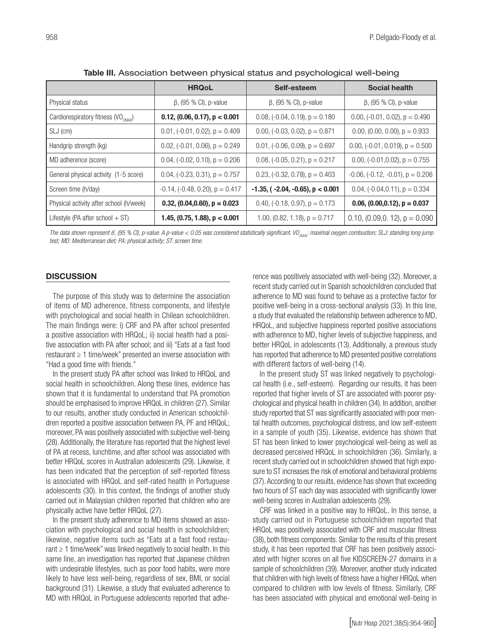|                                                   | <b>HRQoL</b>                            | Self-esteem                                  | <b>Social health</b>                     |
|---------------------------------------------------|-----------------------------------------|----------------------------------------------|------------------------------------------|
| Physical status                                   | $\beta$ , (95 % CI), p-value            | $\beta$ , (95 % CI), p-value                 | $\beta$ , (95 % CI), p-value             |
| Cardiorespiratory fitness $({\rm VO}_{\rm 2MAX})$ | $0.12$ , $(0.06, 0.17)$ , $p < 0.001$   | 0.08, $(-0.04, 0.19)$ , $p = 0.180$          | 0.00, $(-0.01, 0.02)$ , $p = 0.490$      |
| SLJ (cm)                                          | $0.01$ , $(-0.01, 0.02)$ , $p = 0.409$  | 0.00, $(-0.03, 0.02)$ , $p = 0.871$          | $0.00$ , $(0.00, 0.00)$ , $p = 0.933$    |
| Handgrip strength (kg)                            | $0.02$ , $(-0.01, 0.06)$ , $p = 0.249$  | $0.01$ , $(-0.06, 0.09)$ , $p = 0.697$       | 0.00, $(-0.01, 0.019)$ , $p = 0.500$     |
| MD adherence (score)                              | $0.04$ , $(-0.02, 0.10)$ , $p = 0.206$  | 0.08, $(-0.05, 0.21)$ , $p = 0.217$          | 0.00, $(-0.01, 0.02)$ , $p = 0.755$      |
| General physical activity (1-5 score)             | $0.04$ , $(-0.23, 0.31)$ , $p = 0.757$  | 0.23, $(-0.32, 0.78)$ , $p = 0.403$          | $-0.06$ , $(-0.12, -0.01)$ , $p = 0.206$ |
| Screen time (h/day)                               | $-0.14$ , $(-0.48, 0.20)$ , $p = 0.417$ | $-1.35$ , ( $-2.04$ , $-0.65$ ), $p < 0.001$ | 0.04, $(-0.04, 0.11)$ , $p = 0.334$      |
| Physical activity after school (h/week)           | 0.32, $(0.04, 0.60)$ , $p = 0.023$      | 0.40, $(-0.18, 0.97)$ , $p = 0.173$          | 0.06, $(0.00, 0.12)$ , $p = 0.037$       |
| Lifestyle (PA after school $+ ST$ )               | 1.45, $(0.75, 1.88)$ , $p < 0.001$      | 1.00, $(0.82, 1.18)$ , $p = 0.717$           | 0.10, $(0.09, 0.12)$ , $p = 0.090$       |

Table III. Association between physical status and psychological well-being

The data shown represent *β*, (95 % CI), p-value. A p-value < 0.05 was considered statistically significant. VO<sub>2MAX</sub>: maximal oxygen combustion; SLJ: standing long jump *test; MD: Mediterranean diet; PA: physical activity; ST: screen time.* 

#### **DISCUSSION**

The purpose of this study was to determine the association of items of MD adherence, fitness components, and lifestyle with psychological and social health in Chilean schoolchildren. The main findings were: i) CRF and PA after school presented a positive association with HRQoL; ii) social health had a positive association with PA after school; and iii) "Eats at a fast food restaurant ≥ 1 time/week" presented an inverse association with "Had a good time with friends."

In the present study PA after school was linked to HRQoL and social health in schoolchildren. Along these lines, evidence has shown that it is fundamental to understand that PA promotion should be emphasised to improve HRQoL in children (27). Similar to our results, another study conducted in American schoolchildren reported a positive association between PA, PF and HRQoL; moreover, PA was positively associated with subjective well-being (28). Additionally, the literature has reported that the highest level of PA at recess, lunchtime, and after school was associated with better HRQoL scores in Australian adolescents (29). Likewise, it has been indicated that the perception of self-reported fitness is associated with HRQoL and self-rated health in Portuguese adolescents (30). In this context, the findings of another study carried out in Malaysian children reported that children who are physically active have better HRQoL (27).

In the present study adherence to MD items showed an association with psychological and social health in schoolchildren; likewise, negative items such as "Eats at a fast food restaurant  $\geq 1$  time/week" was linked negatively to social health. In this same line, an investigation has reported that Japanese children with undesirable lifestyles, such as poor food habits, were more likely to have less well-being, regardless of sex, BMI, or social background (31). Likewise, a study that evaluated adherence to MD with HRQoL in Portuguese adolescents reported that adherence was positively associated with well-being (32). Moreover, a recent study carried out in Spanish schoolchildren concluded that adherence to MD was found to behave as a protective factor for positive well-being in a cross-sectional analysis (33). In this line, a study that evaluated the relationship between adherence to MD, HRQoL, and subjective happiness reported positive associations with adherence to MD, higher levels of subjective happiness, and better HRQoL in adolescents (13). Additionally, a previous study has reported that adherence to MD presented positive correlations with different factors of well-being (14).

In the present study ST was linked negatively to psychological health (i.e., self-esteem). Regarding our results, it has been reported that higher levels of ST are associated with poorer psychological and physical health in children (34). In addition, another study reported that ST was significantly associated with poor mental health outcomes, psychological distress, and low self-esteem in a sample of youth (35). Likewise, evidence has shown that ST has been linked to lower psychological well-being as well as decreased perceived HRQoL in schoolchildren (36). Similarly, a recent study carried out in schoolchildren showed that high exposure to ST increases the risk of emotional and behavioral problems (37). According to our results, evidence has shown that exceeding two hours of ST each day was associated with significantly lower well-being scores in Australian adolescents (29).

CRF was linked in a positive way to HRQoL. In this sense, a study carried out in Portuguese schoolchildren reported that HRQoL was positively associated with CRF and muscular fitness (38), both fitness components. Similar to the results of this present study, it has been reported that CRF has been positively associated with higher scores on all five KIDSCREEN-27 domains in a sample of schoolchildren (39). Moreover, another study indicated that children with high levels of fitness have a higher HRQoL when compared to children with low levels of fitness. Similarly, CRF has been associated with physical and emotional well-being in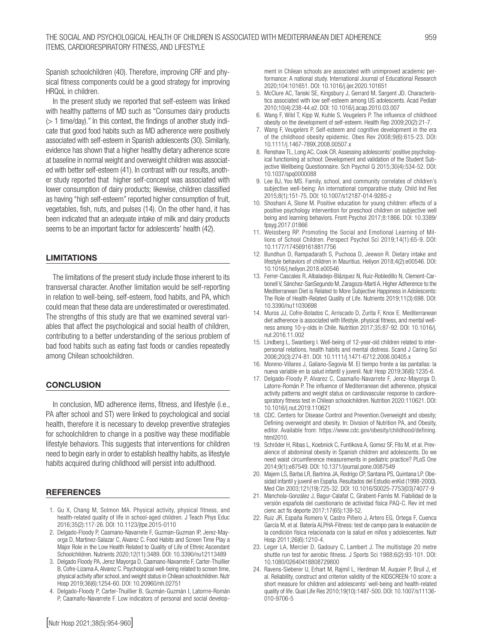Spanish schoolchildren (40). Therefore, improving CRF and physical fitness components could be a good strategy for improving HRQoL in children.

In the present study we reported that self-esteem was linked with healthy patterns of MD such as "Consumes dairy products  $($  1 time/day)." In this context, the findings of another study indicate that good food habits such as MD adherence were positively associated with self-esteem in Spanish adolescents (30). Similarly, evidence has shown that a higher healthy dietary adherence score at baseline in normal weight and overweight children was associated with better self-esteem (41). In contrast with our results, another study reported that higher self-concept was associated with lower consumption of dairy products; likewise, children classified as having "high self-esteem" reported higher consumption of fruit, vegetables, fish, nuts, and pulses (14). On the other hand, it has been indicated that an adequate intake of milk and dairy products seems to be an important factor for adolescents' health (42).

#### LIMITATIONS

The limitations of the present study include those inherent to its transversal character. Another limitation would be self-reporting in relation to well-being, self-esteem, food habits, and PA, which could mean that these data are underestimated or overestimated. The strengths of this study are that we examined several variables that affect the psychological and social health of children, contributing to a better understanding of the serious problem of bad food habits such as eating fast foods or candies repeatedly among Chilean schoolchildren.

#### **CONCLUSION**

In conclusion, MD adherence items, fitness, and lifestyle (i.e., PA after school and ST) were linked to psychological and social health, therefore it is necessary to develop preventive strategies for schoolchildren to change in a positive way these modifiable lifestyle behaviors. This suggests that interventions for children need to begin early in order to establish healthy habits, as lifestyle habits acquired during childhood will persist into adulthood.

#### REFERENCES

- 1. Gu X, Chang M, Solmon MA. Physical activity, physical fitness, and health-related quality of life in school-aged children. J Teach Phys Educ 2016;35(2):117-26. DOI: 10.1123/jtpe.2015-0110
- 2. Delgado-Floody P, Caamano-Navarrete F, Guzman-Guzman IP, Jerez-Mayorga D, Martinez-Salazar C, Alvarez C. Food Habits and Screen Time Play a Major Role in the Low Health Related to Quality of Life of Ethnic Ascendant Schoolchildren. Nutrients 2020;12(11):3489. DOI: 10.3390/nu12113489
- 3. Delgado Floody PA, Jerez Mayorga D, Caamano-Navarrete F, Carter-Thuillier B, Cofre-Lizama A, Alvarez C. Psychological well-being related to screen time, physical activity after school, and weight status in Chilean schoolchildren. Nutr Hosp 2019;36(6):1254-60. DOI: 10.20960/nh.02751
- 4. Delgado-Floody P, Carter-Thuillier B, Guzmán-Guzmán I, Latorrre-Román P, Caamaño-Navarrete F. Low indicators of personal and social develop-

ment in Chilean schools are associated with unimproved academic performance: A national study. International Journal of Educational Research 2020;104:101651. DOI: 10.1016/j.ijer.2020.101651

- 5. McClure AC, Tanski SE, Kingsbury J, Gerrard M, Sargent JD. Characteristics associated with low self-esteem among US adolescents. Acad Pediatr 2010;10(4):238-44.e2. DOI: 10.1016/j.acap.2010.03.007
- 6. Wang F, Wild T, Kipp W, Kuhle S, Veugelers P. The influence of childhood obesity on the development of self-esteem. Health Rep 2009;20(2):21-7.
- 7. Wang F, Veugelers P. Self‐esteem and cognitive development in the era of the childhood obesity epidemic. Obes Rev 2008;9(6):615-23. DOI: 10.1111/j.1467-789X.2008.00507.x
- 8. Renshaw TL, Long AC, Cook CR. Assessing adolescents' positive psychological functioning at school: Development and validation of the Student Subjective Wellbeing Questionnaire. Sch Psychol Q 2015;30(4):534-52. DOI: 10.1037/spq0000088
- 9. Lee BJ, Yoo MS. Family, school, and community correlates of children's subjective well-being: An international comparative study. Child Ind Res 2015;8(1):151-75. DOI: 10.1007/s12187-014-9285-z
- 10. Shoshani A, Slone M. Positive education for young children: effects of a positive psychology intervention for preschool children on subjective well being and learning behaviors. Front Psychol 2017;8:1866. DOI: 10.3389/ fpsyg.2017.01866
- 11. Weissberg RP. Promoting the Social and Emotional Learning of Millions of School Children. Perspect Psychol Sci 2019;14(1):65-9. DOI: 10.1177/1745691618817756
- 12. Bundhun D, Rampadarath S, Puchooa D, Jeewon R. Dietary intake and lifestyle behaviors of children in Mauritius. Heliyon 2018;4(2):e00546. DOI: 10.1016/j.heliyon.2018.e00546
- 13. Ferrer-Cascales R, Albaladejo-Blázquez N, Ruiz-Robledillo N, Clement-Carbonell V, Sánchez-SanSegundo M, Zaragoza-Martí A. Higher Adherence to the Mediterranean Diet is Related to More Subjective Happiness in Adolescents: The Role of Health-Related Quality of Life. Nutrients 2019;11(3):698. DOI: 10.3390/nu11030698
- 14. Muros JJ, Cofre-Bolados C, Arriscado D, Zurita F, Knox E. Mediterranean diet adherence is associated with lifestyle, physical fitness, and mental wellness among 10-y-olds in Chile. Nutrition 2017;35:87-92. DOI: 10.1016/j. nut.2016.11.002
- 15. Lindberg L, Swanberg I. Well-being of 12-year-old children related to interpersonal relations, health habits and mental distress. Scand J Caring Sci 2006;20(3):274-81. DOI: 10.1111/j.1471-6712.2006.00405.x
- 16. Moreno-Villares J, Galiano-Segovia M. El tiempo frente a las pantallas: la nueva variable en la salud infantil y juvenil. Nutr Hosp 2019;36(6):1235-6.
- 17. Delgado-Floody P, Alvarez C, Caamaño-Navarrete F, Jerez-Mayorga D, Latorre-Román P. The influence of Mediterranean diet adherence, physical activity patterns and weight status on cardiovascular response to cardiorespiratory fitness test in Chilean schoolchildren. Nutrition 2020:110621. DOI: 10.1016/j.nut.2019.110621
- 18. CDC. Centers for Disease Control and Prevention.Overweight and obesity; Defining overweight and obesity. In: Division of Nutrition PA, and Obesity, editor. Available from: https://www.cdc.gov/obesity/childhood/defining. html2010.
- 19. Schröder H, Ribas L, Koebnick C, Funtikova A, Gomez SF, Fíto M, et al. Prevalence of abdominal obesity in Spanish children and adolescents. Do we need waist circumference measurements in pediatric practice? PLoS One 2014;9(1):e87549. DOI: 10.1371/journal.pone.0087549
- 20. Majem LS, Barba LR, Bartrina JA, Rodrigo CP, Santana PS, Quintana LP. Obesidad infantil y juvenil en España. Resultados del Estudio enKid (1998-2000). Med Clin 2003;121(19):725-32. DOI: 10.1016/S0025-7753(03)74077-9
- 21. Manchola-González J, Bagur-Calafat C, Girabent-Farrés M. Fiabilidad de la versión española del cuestionario de actividad física PAQ-C. Rev int med cienc act fis deporte 2017;17(65):139-52.
- 22. Ruiz JR, España Romero V, Castro Piñero J, Artero EG, Ortega F, Cuenca García M, et al. Batería ALPHA-Fitness: test de campo para la evaluación de la condición física relacionada con la salud en niños y adolescentes. Nutr Hosp 2011;26(6):1210-4.
- 23. Leger LA, Mercier D, Gadoury C, Lambert J. The multistage 20 metre shuttle run test for aerobic fitness. J Sports Sci 1988;6(2):93-101. DOI: 10.1080/02640418808729800
- 24. Ravens-Sieberer U, Erhart M, Rajmil L, Herdman M, Auquier P, Bruil J, et al. Reliability, construct and criterion validity of the KIDSCREEN-10 score: a short measure for children and adolescents' well-being and health-related quality of life. Qual Life Res 2010;19(10):1487-500. DOI: 10.1007/s11136- 010-9706-5